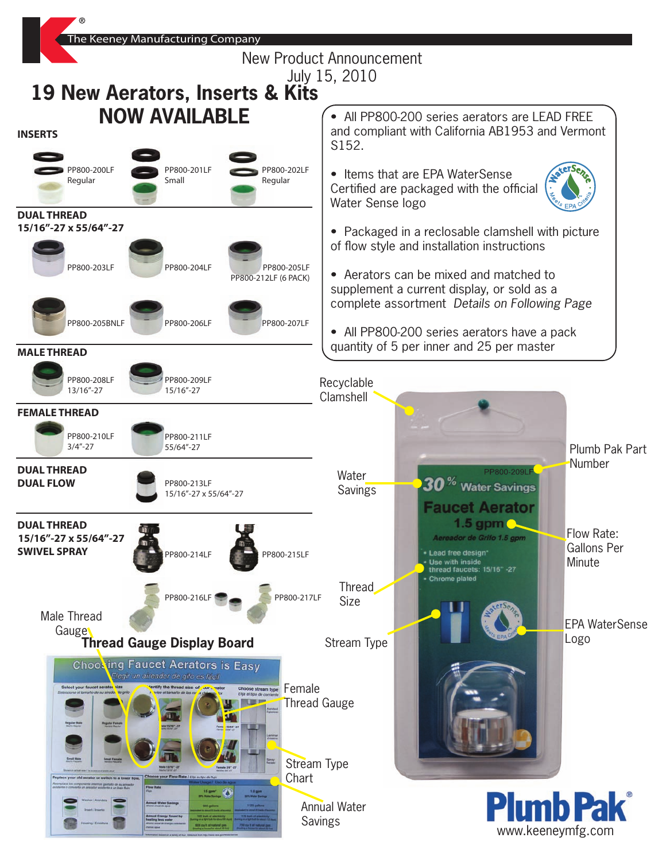